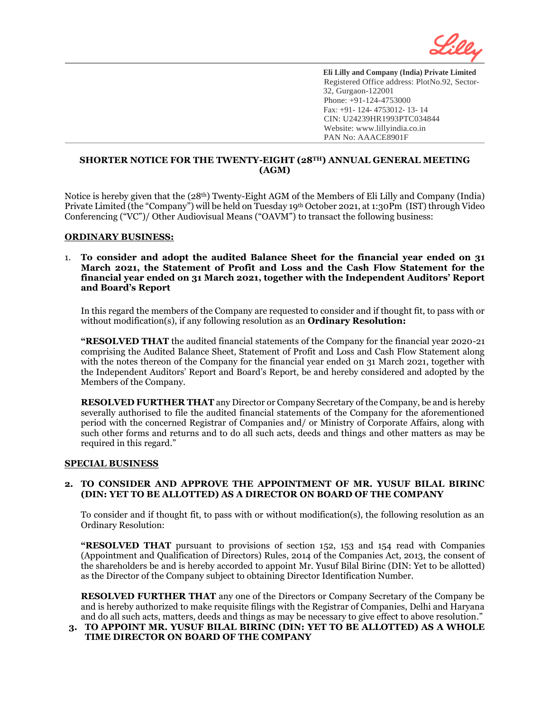

# **SHORTER NOTICE FOR THE TWENTY-EIGHT (28TH) ANNUAL GENERAL MEETING (AGM)**

Notice is hereby given that the (28th) Twenty-Eight AGM of the Members of Eli Lilly and Company (India) Private Limited (the "Company") will be held on Tuesday 19th October 2021, at 1:30Pm (IST) through Video Conferencing ("VC")/ Other Audiovisual Means ("OAVM") to transact the following business:

### **ORDINARY BUSINESS:**

l

### 1. **To consider and adopt the audited Balance Sheet for the financial year ended on 31 March 2021, the Statement of Profit and Loss and the Cash Flow Statement for the financial year ended on 31 March 2021, together with the Independent Auditors' Report and Board's Report**

In this regard the members of the Company are requested to consider and if thought fit, to pass with or without modification(s), if any following resolution as an **Ordinary Resolution:**

**"RESOLVED THAT** the audited financial statements of the Company for the financial year 2020-21 comprising the Audited Balance Sheet, Statement of Profit and Loss and Cash Flow Statement along with the notes thereon of the Company for the financial year ended on 31 March 2021, together with the Independent Auditors' Report and Board's Report, be and hereby considered and adopted by the Members of the Company.

**RESOLVED FURTHER THAT** any Director or Company Secretary of the Company, be and is hereby severally authorised to file the audited financial statements of the Company for the aforementioned period with the concerned Registrar of Companies and/ or Ministry of Corporate Affairs, along with such other forms and returns and to do all such acts, deeds and things and other matters as may be required in this regard."

#### **SPECIAL BUSINESS**

### **2. TO CONSIDER AND APPROVE THE APPOINTMENT OF MR. YUSUF BILAL BIRINC (DIN: YET TO BE ALLOTTED) AS A DIRECTOR ON BOARD OF THE COMPANY**

To consider and if thought fit, to pass with or without modification(s), the following resolution as an Ordinary Resolution:

**"RESOLVED THAT** pursuant to provisions of section 152, 153 and 154 read with Companies (Appointment and Qualification of Directors) Rules, 2014 of the Companies Act, 2013, the consent of the shareholders be and is hereby accorded to appoint Mr. Yusuf Bilal Birinc (DIN: Yet to be allotted) as the Director of the Company subject to obtaining Director Identification Number.

**RESOLVED FURTHER THAT** any one of the Directors or Company Secretary of the Company be and is hereby authorized to make requisite filings with the Registrar of Companies, Delhi and Haryana and do all such acts, matters, deeds and things as may be necessary to give effect to above resolution."

# **3. TO APPOINT MR. YUSUF BILAL BIRINC (DIN: YET TO BE ALLOTTED) AS A WHOLE TIME DIRECTOR ON BOARD OF THE COMPANY**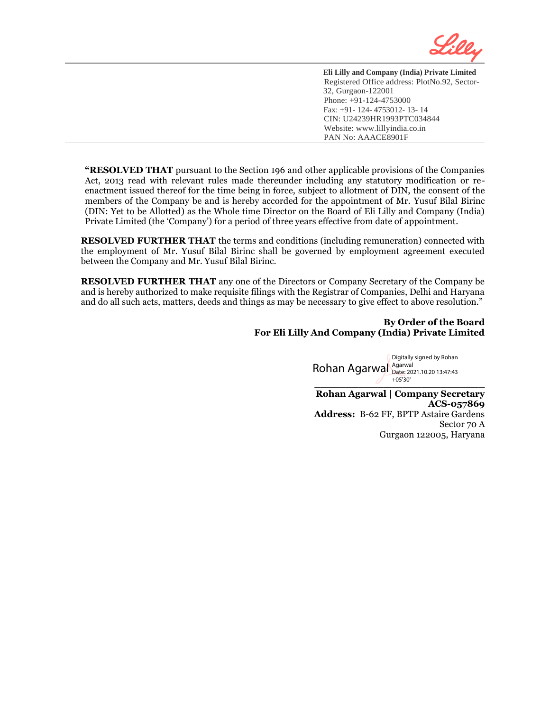

**"RESOLVED THAT** pursuant to the Section 196 and other applicable provisions of the Companies Act, 2013 read with relevant rules made thereunder including any statutory modification or reenactment issued thereof for the time being in force, subject to allotment of DIN, the consent of the members of the Company be and is hereby accorded for the appointment of Mr. Yusuf Bilal Birinc (DIN: Yet to be Allotted) as the Whole time Director on the Board of Eli Lilly and Company (India) Private Limited (the 'Company') for a period of three years effective from date of appointment.

l

**RESOLVED FURTHER THAT** the terms and conditions (including remuneration) connected with the employment of Mr. Yusuf Bilal Birinc shall be governed by employment agreement executed between the Company and Mr. Yusuf Bilal Birinc.

**RESOLVED FURTHER THAT** any one of the Directors or Company Secretary of the Company be and is hereby authorized to make requisite filings with the Registrar of Companies, Delhi and Haryana and do all such acts, matters, deeds and things as may be necessary to give effect to above resolution."

### **By Order of the Board For Eli Lilly And Company (India) Private Limited**

**\_\_\_\_\_\_\_\_\_\_\_\_\_\_\_\_\_\_\_\_\_\_\_\_\_\_\_** Rohan Agarwal Agarwal Digitally signed by Rohan Date: 2021.10.20 13:47:43  $+05'30'$ 

**Rohan Agarwal | Company Secretary ACS-057869 Address:** B-62 FF, BPTP Astaire Gardens Sector 70 A Gurgaon 122005, Haryana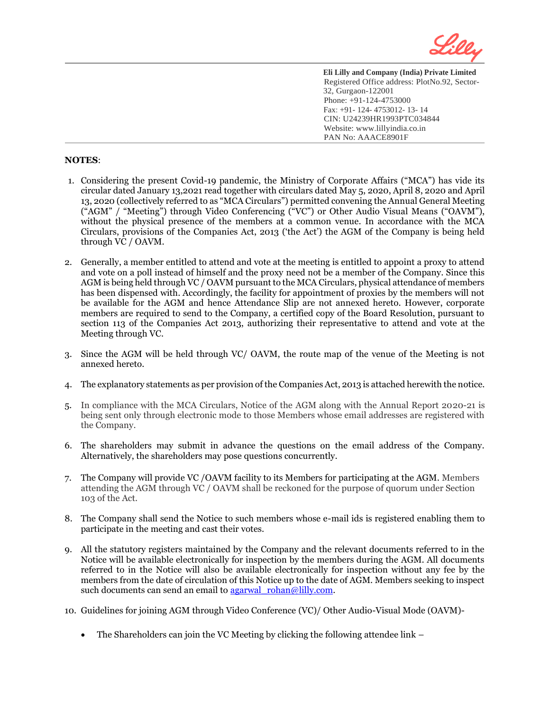

### **NOTES**:

l

- 1. Considering the present Covid-19 pandemic, the Ministry of Corporate Affairs ("MCA") has vide its circular dated January 13,2021 read together with circulars dated May 5, 2020, April 8, 2020 and April 13, 2020 (collectively referred to as "MCA Circulars") permitted convening the Annual General Meeting ("AGM" / "Meeting") through Video Conferencing ("VC") or Other Audio Visual Means ("OAVM"), without the physical presence of the members at a common venue. In accordance with the MCA Circulars, provisions of the Companies Act, 2013 ('the Act') the AGM of the Company is being held through VC / OAVM.
- 2. Generally, a member entitled to attend and vote at the meeting is entitled to appoint a proxy to attend and vote on a poll instead of himself and the proxy need not be a member of the Company. Since this AGM is being held through VC / OAVM pursuant to the MCA Circulars, physical attendance of members has been dispensed with. Accordingly, the facility for appointment of proxies by the members will not be available for the AGM and hence Attendance Slip are not annexed hereto. However, corporate members are required to send to the Company, a certified copy of the Board Resolution, pursuant to section 113 of the Companies Act 2013, authorizing their representative to attend and vote at the Meeting through VC.
- 3. Since the AGM will be held through VC/ OAVM, the route map of the venue of the Meeting is not annexed hereto.
- 4. The explanatory statements as per provision of the Companies Act, 2013 is attached herewith the notice.
- 5. In compliance with the MCA Circulars, Notice of the AGM along with the Annual Report 2020-21 is being sent only through electronic mode to those Members whose email addresses are registered with the Company.
- 6. The shareholders may submit in advance the questions on the email address of the Company. Alternatively, the shareholders may pose questions concurrently.
- 7. The Company will provide VC /OAVM facility to its Members for participating at the AGM. Members attending the AGM through VC / OAVM shall be reckoned for the purpose of quorum under Section 103 of the Act.
- 8. The Company shall send the Notice to such members whose e-mail ids is registered enabling them to participate in the meeting and cast their votes.
- 9. All the statutory registers maintained by the Company and the relevant documents referred to in the Notice will be available electronically for inspection by the members during the AGM. All documents referred to in the Notice will also be available electronically for inspection without any fee by the members from the date of circulation of this Notice up to the date of AGM. Members seeking to inspect such documents can send an email to agarwal rohan@lilly.com.
- 10. Guidelines for joining AGM through Video Conference (VC)/ Other Audio-Visual Mode (OAVM)-
	- The Shareholders can join the VC Meeting by clicking the following attendee link –